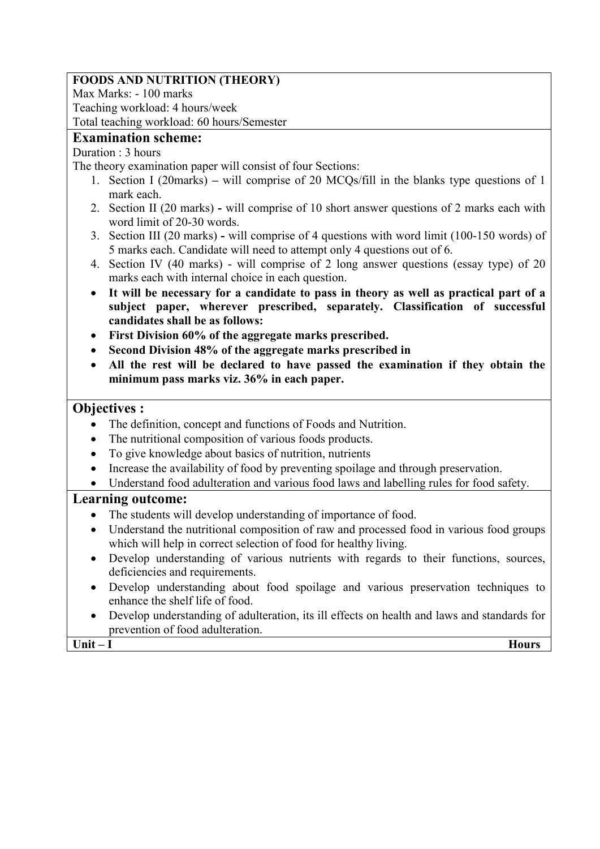# **FOODS AND NUTRITION (THEORY)**

Max Marks: - 100 marks Teaching workload: 4 hours/week Total teaching workload: 60 hours/Semester

### **Examination scheme:**

## Duration : 3 hours

The theory examination paper will consist of four Sections:

- 1. Section I (20marks) **–** will comprise of 20 MCQs/fill in the blanks type questions of 1 mark each.
- 2. Section II (20 marks) **-** will comprise of 10 short answer questions of 2 marks each with word limit of 20-30 words.
- 3. Section III (20 marks) **-** will comprise of 4 questions with word limit (100-150 words) of 5 marks each. Candidate will need to attempt only 4 questions out of 6.
- 4. Section IV (40 marks) will comprise of 2 long answer questions (essay type) of 20 marks each with internal choice in each question.
- **It will be necessary for a candidate to pass in theory as well as practical part of a subject paper, wherever prescribed, separately. Classification of successful candidates shall be as follows:**
- **First Division 60% of the aggregate marks prescribed.**
- **Second Division 48% of the aggregate marks prescribed in**
- **All the rest will be declared to have passed the examination if they obtain the minimum pass marks viz. 36% in each paper.**

# **Objectives :**

- The definition, concept and functions of Foods and Nutrition.
- The nutritional composition of various foods products.
- To give knowledge about basics of nutrition, nutrients
- Increase the availability of food by preventing spoilage and through preservation.
- Understand food adulteration and various food laws and labelling rules for food safety.

# **Learning outcome:**

- The students will develop understanding of importance of food.
- Understand the nutritional composition of raw and processed food in various food groups which will help in correct selection of food for healthy living.
- Develop understanding of various nutrients with regards to their functions, sources, deficiencies and requirements.
- Develop understanding about food spoilage and various preservation techniques to enhance the shelf life of food.
- Develop understanding of adulteration, its ill effects on health and laws and standards for prevention of food adulteration.

**Unit – I Hours**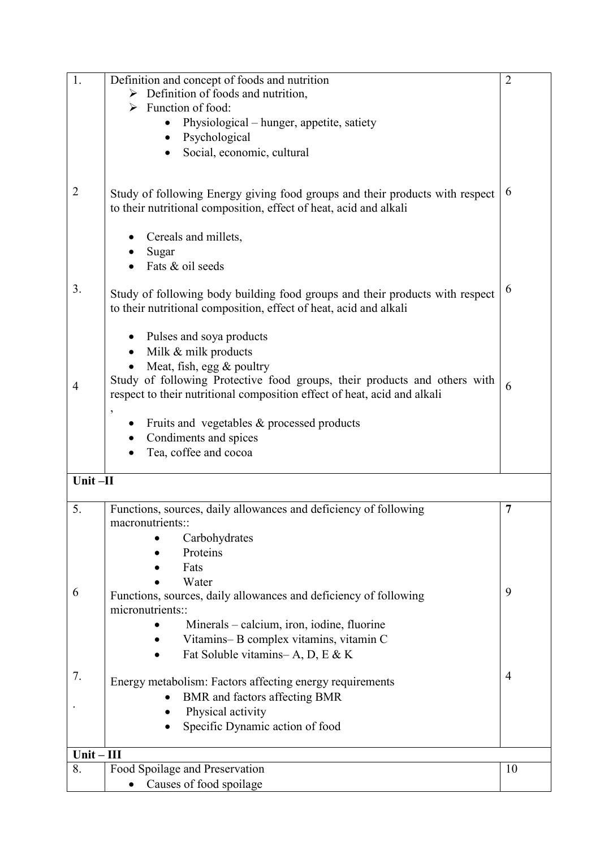| 1.             | Definition and concept of foods and nutrition                                                                                                     | $\overline{2}$ |  |
|----------------|---------------------------------------------------------------------------------------------------------------------------------------------------|----------------|--|
|                | $\triangleright$ Definition of foods and nutrition,                                                                                               |                |  |
|                | $\triangleright$ Function of food:                                                                                                                |                |  |
|                | Physiological – hunger, appetite, satiety                                                                                                         |                |  |
|                | Psychological                                                                                                                                     |                |  |
|                | Social, economic, cultural                                                                                                                        |                |  |
|                |                                                                                                                                                   |                |  |
| $\overline{2}$ | Study of following Energy giving food groups and their products with respect<br>to their nutritional composition, effect of heat, acid and alkali | 6              |  |
|                | Cereals and millets,<br>Sugar                                                                                                                     |                |  |
|                | Fats & oil seeds                                                                                                                                  |                |  |
|                |                                                                                                                                                   |                |  |
| 3.             | Study of following body building food groups and their products with respect<br>to their nutritional composition, effect of heat, acid and alkali | 6              |  |
|                | Pulses and soya products                                                                                                                          |                |  |
|                | Milk & milk products                                                                                                                              |                |  |
|                | Meat, fish, egg & poultry                                                                                                                         |                |  |
| 4              | Study of following Protective food groups, their products and others with                                                                         | 6              |  |
|                | respect to their nutritional composition effect of heat, acid and alkali                                                                          |                |  |
|                | $\overline{\phantom{a}}$                                                                                                                          |                |  |
|                | Fruits and vegetables & processed products                                                                                                        |                |  |
|                | Condiments and spices<br>Tea, coffee and cocoa                                                                                                    |                |  |
|                |                                                                                                                                                   |                |  |
| Unit-II        |                                                                                                                                                   |                |  |
|                |                                                                                                                                                   |                |  |
| 5.             | Functions, sources, daily allowances and deficiency of following                                                                                  | 7              |  |
|                | macronutrients::                                                                                                                                  |                |  |
|                | Carbohydrates                                                                                                                                     |                |  |
|                | Proteins                                                                                                                                          |                |  |
|                | Fats                                                                                                                                              |                |  |
| 6              | Water                                                                                                                                             | 9              |  |
|                | Functions, sources, daily allowances and deficiency of following<br>micronutrients::                                                              |                |  |
|                | Minerals – calcium, iron, iodine, fluorine                                                                                                        |                |  |
|                | Vitamins-B complex vitamins, vitamin C                                                                                                            |                |  |
|                | Fat Soluble vitamins-A, D, E & K                                                                                                                  |                |  |
|                |                                                                                                                                                   |                |  |
| 7.             | Energy metabolism: Factors affecting energy requirements                                                                                          | $\overline{4}$ |  |
|                | BMR and factors affecting BMR                                                                                                                     |                |  |
|                | Physical activity                                                                                                                                 |                |  |
|                | Specific Dynamic action of food                                                                                                                   |                |  |
|                |                                                                                                                                                   |                |  |
| $Unit - III$   |                                                                                                                                                   |                |  |
| 8.             | Food Spoilage and Preservation                                                                                                                    | 10             |  |
|                | Causes of food spoilage                                                                                                                           |                |  |